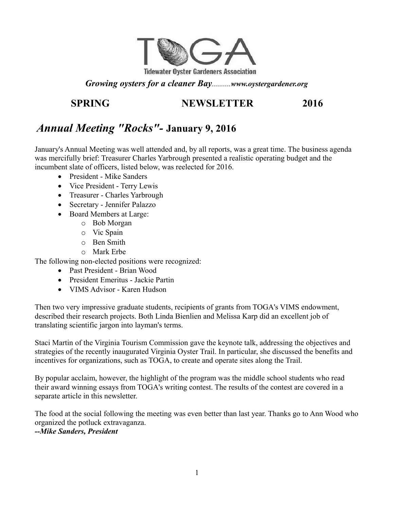

#### *Growing oysters for a cleaner Bay..........www.oystergardener.org*

## **SPRING NEWSLETTER 2016**

# *Annual Meeting "Rocks"-* **January 9, 2016**

January's Annual Meeting was well attended and, by all reports, was a great time. The business agenda was mercifully brief: Treasurer Charles Yarbrough presented a realistic operating budget and the incumbent slate of officers, listed below, was reelected for 2016.

- President Mike Sanders
- Vice President Terry Lewis
- Treasurer Charles Yarbrough
- Secretary Jennifer Palazzo
- Board Members at Large:
	- o Bob Morgan
	- o Vic Spain
	- o Ben Smith
	- o Mark Erbe

The following non-elected positions were recognized:

- Past President Brian Wood
- President Emeritus Jackie Partin
- VIMS Advisor Karen Hudson

Then two very impressive graduate students, recipients of grants from TOGA's VIMS endowment, described their research projects. Both Linda Bienlien and Melissa Karp did an excellent job of translating scientific jargon into layman's terms.

Staci Martin of the Virginia Tourism Commission gave the keynote talk, addressing the objectives and strategies of the recently inaugurated Virginia Oyster Trail. In particular, she discussed the benefits and incentives for organizations, such as TOGA, to create and operate sites along the Trail.

By popular acclaim, however, the highlight of the program was the middle school students who read their award winning essays from TOGA's writing contest. The results of the contest are covered in a separate article in this newsletter.

The food at the social following the meeting was even better than last year. Thanks go to Ann Wood who organized the potluck extravaganza.

*--Mike Sanders, President*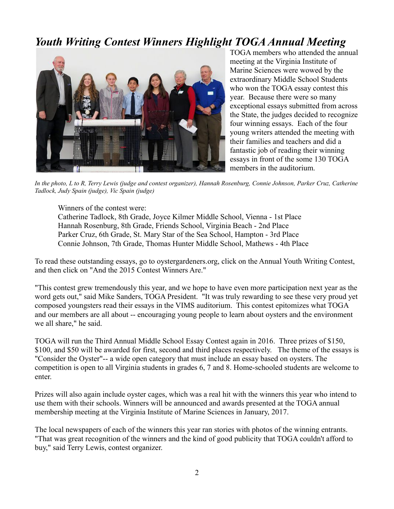# *Youth Writing Contest Winners Highlight TOGA Annual Meeting*



TOGA members who attended the annual meeting at the Virginia Institute of Marine Sciences were wowed by the extraordinary Middle School Students who won the TOGA essay contest this year. Because there were so many exceptional essays submitted from across the State, the judges decided to recognize four winning essays. Each of the four young writers attended the meeting with their families and teachers and did a fantastic job of reading their winning essays in front of the some 130 TOGA members in the auditorium.

*In the photo, L to R, Terry Lewis (judge and contest organizer), Hannah Rosenburg, Connie Johnson, Parker Cruz, Catherine Tadlock, Judy Spain (judge), Vic Spain (judge)*

Winners of the contest were:

Catherine Tadlock, 8th Grade, Joyce Kilmer Middle School, Vienna - 1st Place Hannah Rosenburg, 8th Grade, Friends School, Virginia Beach - 2nd Place Parker Cruz, 6th Grade, St. Mary Star of the Sea School, Hampton - 3rd Place Connie Johnson, 7th Grade, Thomas Hunter Middle School, Mathews - 4th Place

To read these outstanding essays, go to oystergardeners.org, click on the Annual Youth Writing Contest, and then click on "And the 2015 Contest Winners Are."

"This contest grew tremendously this year, and we hope to have even more participation next year as the word gets out," said Mike Sanders, TOGA President. "It was truly rewarding to see these very proud yet composed youngsters read their essays in the VIMS auditorium. This contest epitomizes what TOGA and our members are all about -- encouraging young people to learn about oysters and the environment we all share," he said.

TOGA will run the Third Annual Middle School Essay Contest again in 2016. Three prizes of \$150, \$100, and \$50 will be awarded for first, second and third places respectively. The theme of the essays is "Consider the Oyster"-- a wide open category that must include an essay based on oysters. The competition is open to all Virginia students in grades 6, 7 and 8. Home-schooled students are welcome to enter.

Prizes will also again include oyster cages, which was a real hit with the winners this year who intend to use them with their schools. Winners will be announced and awards presented at the TOGA annual membership meeting at the Virginia Institute of Marine Sciences in January, 2017.

The local newspapers of each of the winners this year ran stories with photos of the winning entrants. "That was great recognition of the winners and the kind of good publicity that TOGA couldn't afford to buy," said Terry Lewis, contest organizer.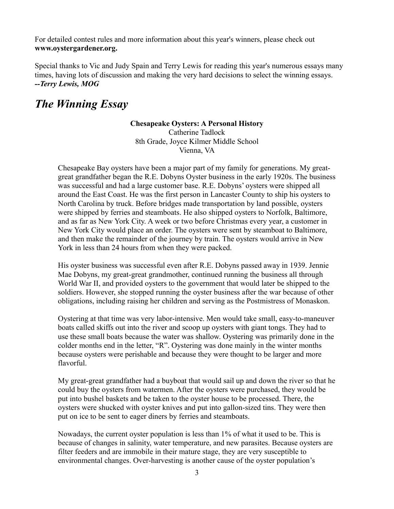For detailed contest rules and more information about this year's winners, please check out **www.oystergardener.org.** 

Special thanks to Vic and Judy Spain and Terry Lewis for reading this year's numerous essays many times, having lots of discussion and making the very hard decisions to select the winning essays. *--Terry Lewis, MOG*

# *The Winning Essay*

#### **Chesapeake Oysters: A Personal History**

Catherine Tadlock 8th Grade, Joyce Kilmer Middle School Vienna, VA

Chesapeake Bay oysters have been a major part of my family for generations. My greatgreat grandfather began the R.E. Dobyns Oyster business in the early 1920s. The business was successful and had a large customer base. R.E. Dobyns' oysters were shipped all around the East Coast. He was the first person in Lancaster County to ship his oysters to North Carolina by truck. Before bridges made transportation by land possible, oysters were shipped by ferries and steamboats. He also shipped oysters to Norfolk, Baltimore, and as far as New York City. A week or two before Christmas every year, a customer in New York City would place an order. The oysters were sent by steamboat to Baltimore, and then make the remainder of the journey by train. The oysters would arrive in New York in less than 24 hours from when they were packed.

His oyster business was successful even after R.E. Dobyns passed away in 1939. Jennie Mae Dobyns, my great-great grandmother, continued running the business all through World War II, and provided oysters to the government that would later be shipped to the soldiers. However, she stopped running the oyster business after the war because of other obligations, including raising her children and serving as the Postmistress of Monaskon.

Oystering at that time was very labor-intensive. Men would take small, easy-to-maneuver boats called skiffs out into the river and scoop up oysters with giant tongs. They had to use these small boats because the water was shallow. Oystering was primarily done in the colder months end in the letter, "R". Oystering was done mainly in the winter months because oysters were perishable and because they were thought to be larger and more flavorful.

My great-great grandfather had a buyboat that would sail up and down the river so that he could buy the oysters from watermen. After the oysters were purchased, they would be put into bushel baskets and be taken to the oyster house to be processed. There, the oysters were shucked with oyster knives and put into gallon-sized tins. They were then put on ice to be sent to eager diners by ferries and steamboats.

Nowadays, the current oyster population is less than 1% of what it used to be. This is because of changes in salinity, water temperature, and new parasites. Because oysters are filter feeders and are immobile in their mature stage, they are very susceptible to environmental changes. Over-harvesting is another cause of the oyster population's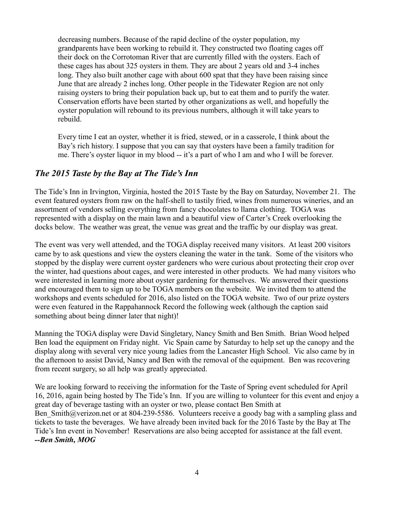decreasing numbers. Because of the rapid decline of the oyster population, my grandparents have been working to rebuild it. They constructed two floating cages off their dock on the Corrotoman River that are currently filled with the oysters. Each of these cages has about 325 oysters in them. They are about 2 years old and 3-4 inches long. They also built another cage with about 600 spat that they have been raising since June that are already 2 inches long. Other people in the Tidewater Region are not only raising oysters to bring their population back up, but to eat them and to purify the water. Conservation efforts have been started by other organizations as well, and hopefully the oyster population will rebound to its previous numbers, although it will take years to rebuild.

Every time I eat an oyster, whether it is fried, stewed, or in a casserole, I think about the Bay's rich history. I suppose that you can say that oysters have been a family tradition for me. There's oyster liquor in my blood -- it's a part of who I am and who I will be forever.

#### *The 2015 Taste by the Bay at The Tide's Inn*

The Tide's Inn in Irvington, Virginia, hosted the 2015 Taste by the Bay on Saturday, November 21. The event featured oysters from raw on the half-shell to tastily fried, wines from numerous wineries, and an assortment of vendors selling everything from fancy chocolates to llama clothing. TOGA was represented with a display on the main lawn and a beautiful view of Carter's Creek overlooking the docks below. The weather was great, the venue was great and the traffic by our display was great.

The event was very well attended, and the TOGA display received many visitors. At least 200 visitors came by to ask questions and view the oysters cleaning the water in the tank. Some of the visitors who stopped by the display were current oyster gardeners who were curious about protecting their crop over the winter, had questions about cages, and were interested in other products. We had many visitors who were interested in learning more about oyster gardening for themselves. We answered their questions and encouraged them to sign up to be TOGA members on the website. We invited them to attend the workshops and events scheduled for 2016, also listed on the TOGA website. Two of our prize oysters were even featured in the Rappahannock Record the following week (although the caption said something about being dinner later that night)!

Manning the TOGA display were David Singletary, Nancy Smith and Ben Smith. Brian Wood helped Ben load the equipment on Friday night. Vic Spain came by Saturday to help set up the canopy and the display along with several very nice young ladies from the Lancaster High School. Vic also came by in the afternoon to assist David, Nancy and Ben with the removal of the equipment. Ben was recovering from recent surgery, so all help was greatly appreciated.

We are looking forward to receiving the information for the Taste of Spring event scheduled for April 16, 2016, again being hosted by The Tide's Inn. If you are willing to volunteer for this event and enjoy a great day of beverage tasting with an oyster or two, please contact Ben Smith at Ben Smith@verizon.net or at 804-239-5586. Volunteers receive a goody bag with a sampling glass and tickets to taste the beverages. We have already been invited back for the 2016 Taste by the Bay at The Tide's Inn event in November! Reservations are also being accepted for assistance at the fall event. *--Ben Smith, MOG*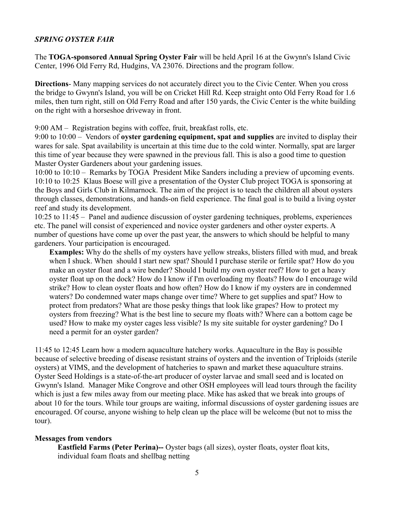#### *SPRING OYSTER FAIR*

The **TOGA-sponsored Annual Spring Oyster Fair** will be held April 16 at the Gwynn's Island Civic Center, 1996 Old Ferry Rd, Hudgins, VA 23076. Directions and the program follow.

**Directions**- Many mapping services do not accurately direct you to the Civic Center. When you cross the bridge to Gwynn's Island, you will be on Cricket Hill Rd. Keep straight onto Old Ferry Road for 1.6 miles, then turn right, still on Old Ferry Road and after 150 yards, the Civic Center is the white building on the right with a horseshoe driveway in front.

9:00 AM – Registration begins with coffee, fruit, breakfast rolls, etc.

9:00 to 10:00 – Vendors of **oyster gardening equipment, spat and supplies** are invited to display their wares for sale. Spat availability is uncertain at this time due to the cold winter. Normally, spat are larger this time of year because they were spawned in the previous fall. This is also a good time to question Master Oyster Gardeners about your gardening issues.

10:00 to 10:10 – Remarks by TOGA President Mike Sanders including a preview of upcoming events. 10:10 to 10:25 Klaus Boese will give a presentation of the Oyster Club project TOGA is sponsoring at the Boys and Girls Club in Kilmarnock. The aim of the project is to teach the children all about oysters through classes, demonstrations, and hands-on field experience. The final goal is to build a living oyster reef and study its development.

10:25 to 11:45 – Panel and audience discussion of oyster gardening techniques, problems, experiences etc. The panel will consist of experienced and novice oyster gardeners and other oyster experts. A number of questions have come up over the past year, the answers to which should be helpful to many gardeners. Your participation is encouraged.

**Examples:** Why do the shells of my oysters have yellow streaks, blisters filled with mud, and break when I shuck. When should I start new spat? Should I purchase sterile or fertile spat? How do you make an oyster float and a wire bender? Should I build my own oyster reef? How to get a heavy oyster float up on the dock? How do I know if I'm overloading my floats? How do I encourage wild strike? How to clean oyster floats and how often? How do I know if my oysters are in condemned waters? Do condemned water maps change over time? Where to get supplies and spat? How to protect from predators? What are those pesky things that look like grapes? How to protect my oysters from freezing? What is the best line to secure my floats with? Where can a bottom cage be used? How to make my oyster cages less visible? Is my site suitable for oyster gardening? Do I need a permit for an oyster garden?

11:45 to 12:45 Learn how a modern aquaculture hatchery works. Aquaculture in the Bay is possible because of selective breeding of disease resistant strains of oysters and the invention of Triploids (sterile oysters) at VIMS, and the development of hatcheries to spawn and market these aquaculture strains. Oyster Seed Holdings is a state-of-the-art producer of oyster larvae and small seed and is located on Gwynn's Island. Manager Mike Congrove and other OSH employees will lead tours through the facility which is just a few miles away from our meeting place. Mike has asked that we break into groups of about 10 for the tours. While tour groups are waiting, informal discussions of oyster gardening issues are encouraged. Of course, anyone wishing to help clean up the place will be welcome (but not to miss the tour).

#### **Messages from vendors**

**Eastfield Farms (Peter Perina)--** Oyster bags (all sizes), oyster floats, oyster float kits, individual foam floats and shellbag netting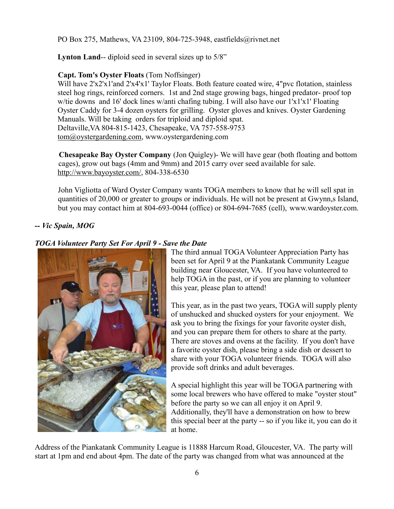PO Box 275, Mathews, VA 23109, 804-725-3948, eastfields@rivnet.net

Lynton Land-- diploid seed in several sizes up to 5/8"

#### **Capt. Tom's Oyster Floats** (Tom Noffsinger)

Will have 2'x2'x1'and 2'x4'x1' Taylor Floats. Both feature coated wire, 4"pvc flotation, stainless steel hog rings, reinforced corners. 1st and 2nd stage growing bags, hinged predator- proof top w/tie downs and 16' dock lines w/anti chafing tubing. I will also have our 1'x1'x1' Floating Oyster Caddy for 3-4 dozen oysters for grilling. Oyster gloves and knives. Oyster Gardening Manuals. Will be taking orders for triploid and diploid spat. Deltaville,VA 804-815-1423, Chesapeake, VA 757-558-9753 [tom@oystergardening.com,](mailto:tom@oystergardening.com) www.oystergardening.com

**Chesapeake Bay Oyster Company** (Jon Quigley)- We will have gear (both floating and bottom cages), grow out bags (4mm and 9mm) and 2015 carry over seed available for sale. [http://www.bayoyster.com/,](http://www.bayoyster.com/) 804-338-6530

John Vigliotta of Ward Oyster Company wants TOGA members to know that he will sell spat in quantities of 20,000 or greater to groups or individuals. He will not be present at Gwynn,s Island, but you may contact him at 804-693-0044 (office) or 804-694-7685 (cell), www.wardoyster.com.

#### *-- Vic Spain, MOG*

#### *TOGA Volunteer Party Set For April 9 - Save the Date*



The third annual TOGA Volunteer Appreciation Party has been set for April 9 at the Piankatank Community League building near Gloucester, VA. If you have volunteered to help TOGA in the past, or if you are planning to volunteer this year, please plan to attend!

This year, as in the past two years, TOGA will supply plenty of unshucked and shucked oysters for your enjoyment. We ask you to bring the fixings for your favorite oyster dish, and you can prepare them for others to share at the party. There are stoves and ovens at the facility. If you don't have a favorite oyster dish, please bring a side dish or dessert to share with your TOGA volunteer friends. TOGA will also provide soft drinks and adult beverages.

A special highlight this year will be TOGA partnering with some local brewers who have offered to make "oyster stout" before the party so we can all enjoy it on April 9. Additionally, they'll have a demonstration on how to brew this special beer at the party -- so if you like it, you can do it at home.

Address of the Piankatank Community League is 11888 Harcum Road, Gloucester, VA. The party will start at 1pm and end about 4pm. The date of the party was changed from what was announced at the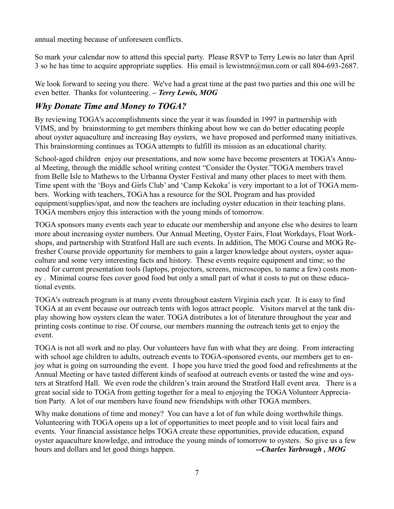annual meeting because of unforeseen conflicts.

So mark your calendar now to attend this special party. Please RSVP to Terry Lewis no later than April 3 so he has time to acquire appropriate supplies. His email is lewistmn@msn.com or call 804-693-2687.

We look forward to seeing you there. We've had a great time at the past two parties and this one will be even better. Thanks for volunteering. *– Terry Lewis, MOG*

## *Why Donate Time and Money to TOGA?*

By reviewing TOGA's accomplishments since the year it was founded in 1997 in partnership with VIMS, and by brainstorming to get members thinking about how we can do better educating people about oyster aquaculture and increasing Bay oysters, we have proposed and performed many initiatives. This brainstorming continues as TOGA attempts to fulfill its mission as an educational charity.

School-aged children enjoy our presentations, and now some have become presenters at TOGA's Annual Meeting, through the middle school writing contest "Consider the Oyster."TOGA members travel from Belle Isle to Mathews to the Urbanna Oyster Festival and many other places to meet with them. Time spent with the 'Boys and Girls Club' and 'Camp Kekoka' is very important to a lot of TOGA members. Working with teachers, TOGA has a resource for the SOL Program and has provided equipment/supplies/spat, and now the teachers are including oyster education in their teaching plans. TOGA members enjoy this interaction with the young minds of tomorrow.

TOGA sponsors many events each year to educate our membership and anyone else who desires to learn more about increasing oyster numbers. Our Annual Meeting, Oyster Fairs, Float Workdays, Float Workshops, and partnership with Stratford Hall are such events. In addition, The MOG Course and MOG Refresher Course provide opportunity for members to gain a larger knowledge about oysters, oyster aquaculture and some very interesting facts and history. These events require equipment and time; so the need for current presentation tools (laptops, projectors, screens, microscopes, to name a few) costs money . Minimal course fees cover good food but only a small part of what it costs to put on these educational events.

TOGA's outreach program is at many events throughout eastern Virginia each year. It is easy to find TOGA at an event because our outreach tents with logos attract people. Visitors marvel at the tank display showing how oysters clean the water. TOGA distributes a lot of literature throughout the year and printing costs continue to rise. Of course, our members manning the outreach tents get to enjoy the event.

TOGA is not all work and no play. Our volunteers have fun with what they are doing. From interacting with school age children to adults, outreach events to TOGA-sponsored events, our members get to enjoy what is going on surrounding the event. I hope you have tried the good food and refreshments at the Annual Meeting or have tasted different kinds of seafood at outreach events or tasted the wine and oysters at Stratford Hall. We even rode the children's train around the Stratford Hall event area. There is a great social side to TOGA from getting together for a meal to enjoying the TOGA Volunteer Appreciation Party. A lot of our members have found new friendships with other TOGA members.

Why make donations of time and money? You can have a lot of fun while doing worthwhile things. Volunteering with TOGA opens up a lot of opportunities to meet people and to visit local fairs and events. Your financial assistance helps TOGA create these opportunities, provide education, expand oyster aquaculture knowledge, and introduce the young minds of tomorrow to oysters. So give us a few hours and dollars and let good things happen. **--Charles Yarbrough, MOG**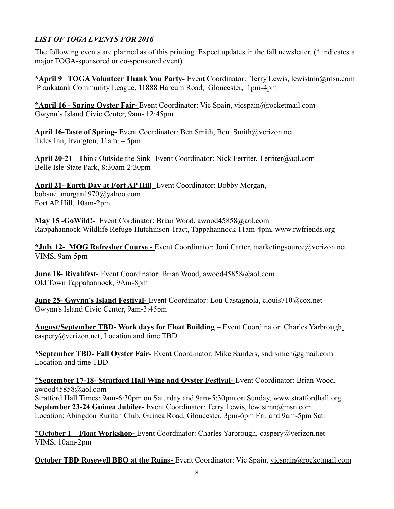### *LIST OF TOGA EVENTS FOR 2016*

The following events are planned as of this printing. Expect updates in the fall newsletter. (\* indicates a major TOGA-sponsored or co-sponsored event)

**\*April 9 TOGA Volunteer Thank You Party-** Event Coordinator: Terry Lewis, lewistmn@msn.com Piankatank Community League, 11888 Harcum Road, Gloucester, 1pm-4pm

**\*April 16 - Spring Oyster Fair-** Event Coordinator: Vic Spain, vicspain@rocketmail.com Gwynn's Island Civic Center, 9am- 12:45pm

**April 16-Taste of Spring-** Event Coordinator: Ben Smith, Ben\_Smith@verizon.net Tides Inn, Irvington, 11am. – 5pm

 **April 20-21** - Think Outside the Sink- Event Coordinator: Nick Ferriter, Ferriter@aol.com Belle Isle State Park, 8:30am-2:30pm

 **April 21- Earth Day at Fort AP Hill**- Event Coordinator: Bobby Morgan, bobsue\_morgan1970@yahoo.com Fort AP Hill, 10am-2pm

**May 15 -GoWild!-** Event Cordinator: Brian Wood, awood45858@aol.com Rappahannock Wildlife Refuge Hutchinson Tract, Tappahannock 11am-4pm, [www.rwfriends.org](http://www.rwfriends.org/)

**\*July 12- MOG Refresher Course -** Event Coordinator: Joni Carter, marketingsource@verizon.net VIMS, 9am-5pm

 **June 18- Rivahfest-** Event Coordinator: Brian Wood, awood45858@aol.com Old Town Tappahannock, 9Am-8pm

 **June 25- Gwynn's Island Festival-** Event Coordinator: Lou Castagnola, clouis710@cox.net Gwynn's Island Civic Center, 9am-3:45pm

**August/September TBD- Work days for Float Building** – Event Coordinator: Charles Yarbrough [caspery@verizon.net,](mailto:caspery@verizon.net) Location and time TBD

**\*September TBD- Fall Oyster Fair-** Event Coordinator: Mike Sanders, [sndrsmich@gmail.com](mailto:sndrsmich@gmail.com) Location and time TBD

**\*September 17-18- Stratford Hall Wine and Oyster Festival-** Event Coordinator: Brian Wood, awood45858@aol.com Stratford Hall Times: 9am-6:30pm on Saturday and 9am-5:30pm on Sunday, www.stratfordhall.org  **September 23-24 Guinea Jubilee-** Event Coordinator: Terry Lewis, lewistmn@msn.com Location: Abingdon Ruritan Club, Guinea Road, Gloucester, 3pm-6pm Fri. and 9am-5pm Sat.

**\*October 1 – Float Workshop-** Event Coordinator: Charles Yarbrough, caspery@verizon.net VIMS, 10am-2pm

**October TBD Rosewell BBQ at the Ruins-** Event Coordinator: Vic Spain, vicspain@rocketmail.com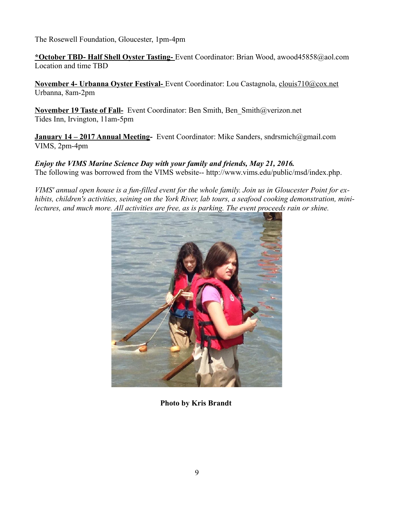The Rosewell Foundation, Gloucester, 1pm-4pm

**\*October TBD- Half Shell Oyster Tasting-** Event Coordinator: Brian Wood, awood45858@aol.com Location and time TBD

 **November 4- Urbanna Oyster Festival-** Event Coordinator: Lou Castagnola, clouis710@cox.net Urbanna, 8am-2pm

**November 19 Taste of Fall-** Event Coordinator: Ben Smith, Ben\_Smith@verizon.net Tides Inn, Irvington, 11am-5pm

**January 14 – 2017 Annual Meeting-** Event Coordinator: Mike Sanders, sndrsmich@gmail.com VIMS, 2pm-4pm

#### *Enjoy the VIMS Marine Science Day with your family and friends, May 21, 2016.* The following was borrowed from the VIMS website-- [http://www.vims.edu/public/msd/index.php.](http://www.vims.edu/public/msd/index.php)

*VIMS' annual open house is a fun-filled event for the whole family. Join us in Gloucester Point for exhibits, children's activities, seining on the York River, lab tours, a seafood cooking demonstration, minilectures, and much more. All activities are free, as is parking. The event proceeds rain or shine.*



**Photo by Kris Brandt**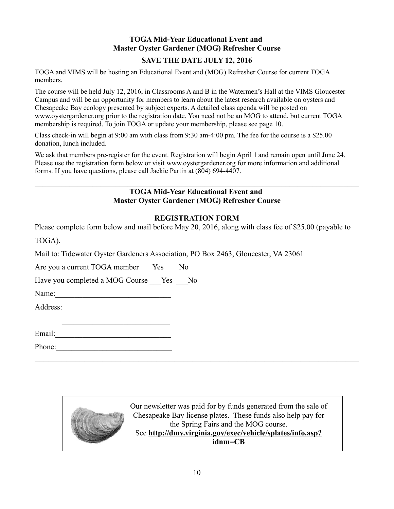#### **TOGA Mid-Year Educational Event and Master Oyster Gardener (MOG) Refresher Course**

#### **SAVE THE DATE JULY 12, 2016**

TOGA and VIMS will be hosting an Educational Event and (MOG) Refresher Course for current TOGA members.

The course will be held July 12, 2016, in Classrooms A and B in the Watermen's Hall at the VIMS Gloucester Campus and will be an opportunity for members to learn about the latest research available on oysters and Chesapeake Bay ecology presented by subject experts. A detailed class agenda will be posted on [www.oystergardener.org](http://www.oystergardener.org/) prior to the registration date. You need not be an MOG to attend, but current TOGA membership is required. To join TOGA or update your membership, please see page 10.

Class check-in will begin at 9:00 am with class from 9:30 am-4:00 pm. The fee for the course is a \$25.00 donation, lunch included.

We ask that members pre-register for the event. Registration will begin April 1 and remain open until June 24. Please use the registration form below or visit [www.oystergardener.org](http://www.oystergardener.org/) for more information and additional forms. If you have questions, please call Jackie Partin at (804) 694-4407.

#### **TOGA Mid-Year Educational Event and Master Oyster Gardener (MOG) Refresher Course**

 $\mathcal{L}_\mathcal{L} = \{ \mathcal{L}_\mathcal{L} = \{ \mathcal{L}_\mathcal{L} = \{ \mathcal{L}_\mathcal{L} = \{ \mathcal{L}_\mathcal{L} = \{ \mathcal{L}_\mathcal{L} = \{ \mathcal{L}_\mathcal{L} = \{ \mathcal{L}_\mathcal{L} = \{ \mathcal{L}_\mathcal{L} = \{ \mathcal{L}_\mathcal{L} = \{ \mathcal{L}_\mathcal{L} = \{ \mathcal{L}_\mathcal{L} = \{ \mathcal{L}_\mathcal{L} = \{ \mathcal{L}_\mathcal{L} = \{ \mathcal{L}_\mathcal{$ 

#### **REGISTRATION FORM**

Please complete form below and mail before May 20, 2016, along with class fee of \$25.00 (payable to

TOGA).

Mail to: Tidewater Oyster Gardeners Association, PO Box 2463, Gloucester, VA 23061

Are you a current TOGA member Yes No

Have you completed a MOG Course Yes No

Name:\_\_\_\_\_\_\_\_\_\_\_\_\_\_\_\_\_\_\_\_\_\_\_\_\_\_\_\_\_\_

Address:\_\_\_\_\_\_\_\_\_\_\_\_\_\_\_\_\_\_\_\_\_\_\_\_\_\_\_\_

 \_\_\_\_\_\_\_\_\_\_\_\_\_\_\_\_\_\_\_\_\_\_\_\_\_\_\_\_ Email:\_\_\_\_\_\_\_\_\_\_\_\_\_\_\_\_\_\_\_\_\_\_\_\_\_\_\_\_\_\_

Phone:\_\_\_\_\_\_\_\_\_\_\_\_\_\_\_\_\_\_\_\_\_\_\_\_\_\_\_\_\_\_



**\_\_\_\_\_\_\_\_\_\_\_\_\_\_\_\_\_\_\_\_\_\_\_\_\_\_\_\_\_\_\_\_\_\_\_\_\_\_\_\_\_\_\_\_\_\_\_\_\_\_\_\_\_\_\_\_\_\_\_\_\_\_\_\_\_\_\_\_\_\_\_\_**